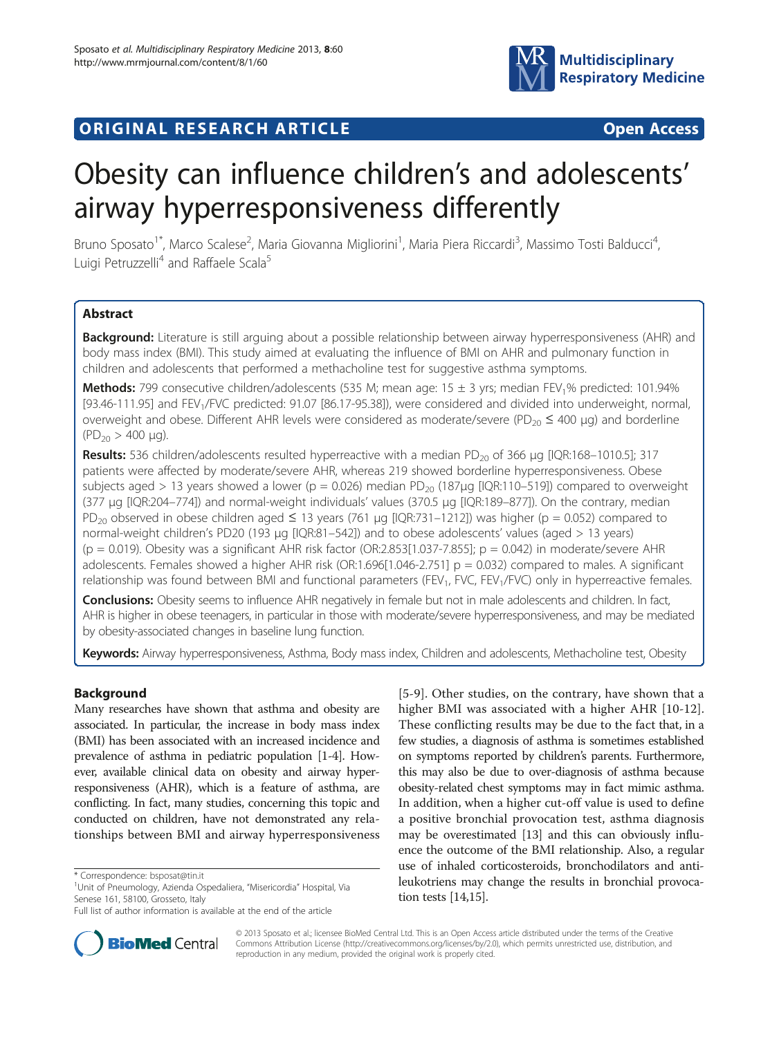

## **ORIGINAL RESEARCH ARTICLE CONSUMING ACCESS**

# Obesity can influence children's and adolescents' airway hyperresponsiveness differently

Bruno Sposato<sup>1\*</sup>, Marco Scalese<sup>2</sup>, Maria Giovanna Migliorini<sup>1</sup>, Maria Piera Riccardi<sup>3</sup>, Massimo Tosti Balducci<sup>4</sup> , Luigi Petruzzelli<sup>4</sup> and Raffaele Scala<sup>5</sup>

## Abstract

Background: Literature is still arguing about a possible relationship between airway hyperresponsiveness (AHR) and body mass index (BMI). This study aimed at evaluating the influence of BMI on AHR and pulmonary function in children and adolescents that performed a methacholine test for suggestive asthma symptoms.

Methods: 799 consecutive children/adolescents (535 M; mean age: 15 ± 3 yrs; median FEV<sub>1</sub>% predicted: 101.94% [93.46-111.95] and FEV<sub>1</sub>/FVC predicted: 91.07 [86.17-95.38]), were considered and divided into underweight, normal, overweight and obese. Different AHR levels were considered as moderate/severe (PD<sub>20</sub>  $\leq$  400 µg) and borderline  $(PD_{20} > 400 \mu g)$ .

Results: 536 children/adolescents resulted hyperreactive with a median PD<sub>20</sub> of 366 µg [IQR:168–1010.5]; 317 patients were affected by moderate/severe AHR, whereas 219 showed borderline hyperresponsiveness. Obese subjects aged > 13 years showed a lower (p = 0.026) median  $PD_{20}$  (187µg [IQR:110–519]) compared to overweight (377 μg [IQR:204–774]) and normal-weight individuals' values (370.5 μg [IQR:189–877]). On the contrary, median PD<sub>20</sub> observed in obese children aged  $\leq$  13 years (761 µg [IQR:731–1212]) was higher (p = 0.052) compared to normal-weight children's PD20 (193 μg [IQR:81–542]) and to obese adolescents' values (aged > 13 years)  $(p = 0.019)$ . Obesity was a significant AHR risk factor (OR:2.853[1.037-7.855];  $p = 0.042$ ) in moderate/severe AHR adolescents. Females showed a higher AHR risk (OR:1.696[1.046-2.751]  $p = 0.032$ ) compared to males. A significant relationship was found between BMI and functional parameters (FEV<sub>1</sub>, FVC, FEV<sub>1</sub>/FVC) only in hyperreactive females.

Conclusions: Obesity seems to influence AHR negatively in female but not in male adolescents and children. In fact, AHR is higher in obese teenagers, in particular in those with moderate/severe hyperresponsiveness, and may be mediated by obesity-associated changes in baseline lung function.

Keywords: Airway hyperresponsiveness, Asthma, Body mass index, Children and adolescents, Methacholine test, Obesity

## Background

Many researches have shown that asthma and obesity are associated. In particular, the increase in body mass index (BMI) has been associated with an increased incidence and prevalence of asthma in pediatric population [\[1-](#page-8-0)[4\]](#page-9-0). However, available clinical data on obesity and airway hyperresponsiveness (AHR), which is a feature of asthma, are conflicting. In fact, many studies, concerning this topic and conducted on children, have not demonstrated any relationships between BMI and airway hyperresponsiveness

[[5-9\]](#page-9-0). Other studies, on the contrary, have shown that a higher BMI was associated with a higher AHR [\[10-12](#page-9-0)]. These conflicting results may be due to the fact that, in a few studies, a diagnosis of asthma is sometimes established on symptoms reported by children's parents. Furthermore, this may also be due to over-diagnosis of asthma because obesity-related chest symptoms may in fact mimic asthma. In addition, when a higher cut-off value is used to define a positive bronchial provocation test, asthma diagnosis may be overestimated [\[13\]](#page-9-0) and this can obviously influence the outcome of the BMI relationship. Also, a regular use of inhaled corticosteroids, bronchodilators and antileukotriens may change the results in bronchial provocation tests [\[14,15](#page-9-0)].



© 2013 Sposato et al.; licensee BioMed Central Ltd. This is an Open Access article distributed under the terms of the Creative Commons Attribution License [\(http://creativecommons.org/licenses/by/2.0\)](http://creativecommons.org/licenses/by/2.0), which permits unrestricted use, distribution, and reproduction in any medium, provided the original work is properly cited.

<sup>\*</sup> Correspondence: [bsposat@tin.it](mailto:bsposat@tin.it) <sup>1</sup>

<sup>&</sup>lt;sup>1</sup>Unit of Pneumology, Azienda Ospedaliera, "Misericordia" Hospital, Via Senese 161, 58100, Grosseto, Italy

Full list of author information is available at the end of the article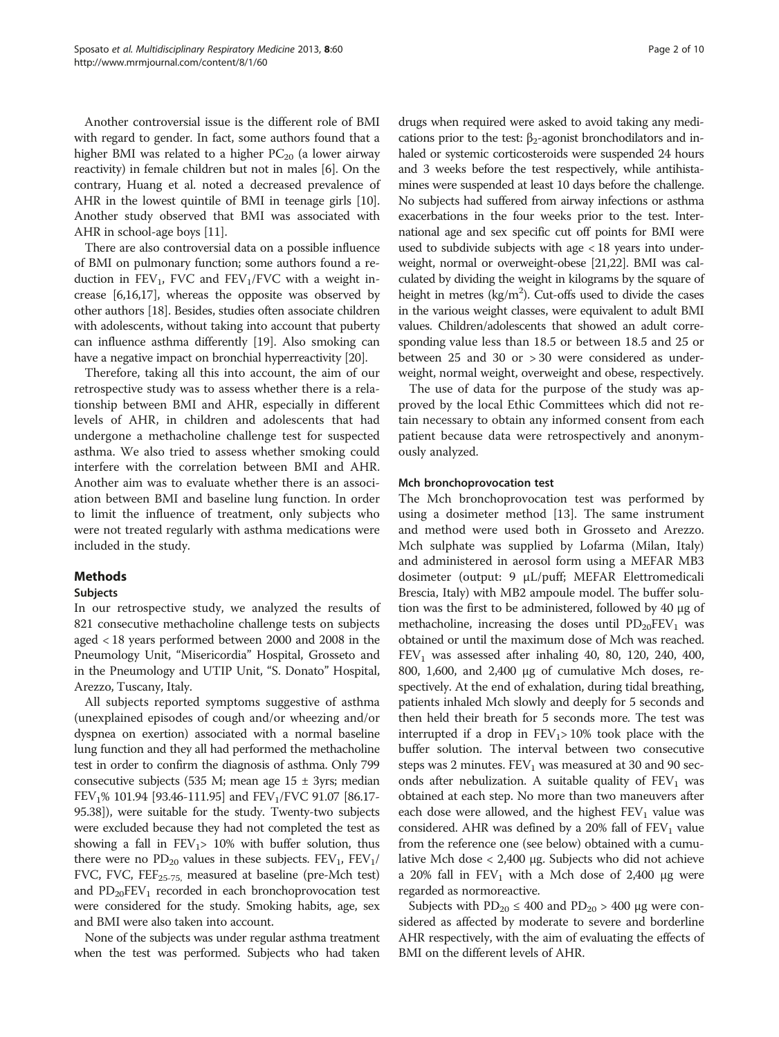Another controversial issue is the different role of BMI with regard to gender. In fact, some authors found that a higher BMI was related to a higher  $PC_{20}$  (a lower airway reactivity) in female children but not in males [[6\]](#page-9-0). On the contrary, Huang et al. noted a decreased prevalence of AHR in the lowest quintile of BMI in teenage girls [[10](#page-9-0)]. Another study observed that BMI was associated with AHR in school-age boys [\[11\]](#page-9-0).

There are also controversial data on a possible influence of BMI on pulmonary function; some authors found a reduction in  $FEV_1$ , FVC and  $FEV_1/FVC$  with a weight increase [\[6,16,17](#page-9-0)], whereas the opposite was observed by other authors [\[18\]](#page-9-0). Besides, studies often associate children with adolescents, without taking into account that puberty can influence asthma differently [[19](#page-9-0)]. Also smoking can have a negative impact on bronchial hyperreactivity [[20](#page-9-0)].

Therefore, taking all this into account, the aim of our retrospective study was to assess whether there is a relationship between BMI and AHR, especially in different levels of AHR, in children and adolescents that had undergone a methacholine challenge test for suspected asthma. We also tried to assess whether smoking could interfere with the correlation between BMI and AHR. Another aim was to evaluate whether there is an association between BMI and baseline lung function. In order to limit the influence of treatment, only subjects who were not treated regularly with asthma medications were included in the study.

## Methods

## Subjects

In our retrospective study, we analyzed the results of 821 consecutive methacholine challenge tests on subjects aged < 18 years performed between 2000 and 2008 in the Pneumology Unit, "Misericordia" Hospital, Grosseto and in the Pneumology and UTIP Unit, "S. Donato" Hospital, Arezzo, Tuscany, Italy.

All subjects reported symptoms suggestive of asthma (unexplained episodes of cough and/or wheezing and/or dyspnea on exertion) associated with a normal baseline lung function and they all had performed the methacholine test in order to confirm the diagnosis of asthma. Only 799 consecutive subjects (535 M; mean age  $15 \pm 3y$ rs; median FEV<sub>1</sub>% 101.94 [93.46-111.95] and FEV<sub>1</sub>/FVC 91.07 [86.17-95.38]), were suitable for the study. Twenty-two subjects were excluded because they had not completed the test as showing a fall in  $FEV<sub>1</sub>$  = 10% with buffer solution, thus there were no  $PD_{20}$  values in these subjects.  $FEV_1$ ,  $FEV_1$ / FVC, FVC, FEF<sub>25-75</sub>, measured at baseline (pre-Mch test) and  $PD_{20}FEV_1$  recorded in each bronchoprovocation test were considered for the study. Smoking habits, age, sex and BMI were also taken into account.

None of the subjects was under regular asthma treatment when the test was performed. Subjects who had taken

drugs when required were asked to avoid taking any medications prior to the test:  $\beta_2$ -agonist bronchodilators and inhaled or systemic corticosteroids were suspended 24 hours and 3 weeks before the test respectively, while antihistamines were suspended at least 10 days before the challenge. No subjects had suffered from airway infections or asthma exacerbations in the four weeks prior to the test. International age and sex specific cut off points for BMI were used to subdivide subjects with age < 18 years into underweight, normal or overweight-obese [\[21,22\]](#page-9-0). BMI was calculated by dividing the weight in kilograms by the square of height in metres  $(kg/m<sup>2</sup>)$ . Cut-offs used to divide the cases in the various weight classes, were equivalent to adult BMI values. Children/adolescents that showed an adult corresponding value less than 18.5 or between 18.5 and 25 or between 25 and 30 or > 30 were considered as underweight, normal weight, overweight and obese, respectively.

The use of data for the purpose of the study was approved by the local Ethic Committees which did not retain necessary to obtain any informed consent from each patient because data were retrospectively and anonymously analyzed.

#### Mch bronchoprovocation test

The Mch bronchoprovocation test was performed by using a dosimeter method [\[13](#page-9-0)]. The same instrument and method were used both in Grosseto and Arezzo. Mch sulphate was supplied by Lofarma (Milan, Italy) and administered in aerosol form using a MEFAR MB3 dosimeter (output: 9 μL/puff; MEFAR Elettromedicali Brescia, Italy) with MB2 ampoule model. The buffer solution was the first to be administered, followed by 40 μg of methacholine, increasing the doses until  $PD_{20}FEV_1$  was obtained or until the maximum dose of Mch was reached.  $FEV<sub>1</sub>$  was assessed after inhaling 40, 80, 120, 240, 400, 800, 1,600, and 2,400 μg of cumulative Mch doses, respectively. At the end of exhalation, during tidal breathing, patients inhaled Mch slowly and deeply for 5 seconds and then held their breath for 5 seconds more. The test was interrupted if a drop in  $FEV_1 > 10\%$  took place with the buffer solution. The interval between two consecutive steps was 2 minutes.  $FEV<sub>1</sub>$  was measured at 30 and 90 seconds after nebulization. A suitable quality of  $FEV<sub>1</sub>$  was obtained at each step. No more than two maneuvers after each dose were allowed, and the highest  $FEV<sub>1</sub>$  value was considered. AHR was defined by a 20% fall of  $FEV<sub>1</sub>$  value from the reference one (see below) obtained with a cumulative Mch dose < 2,400 μg. Subjects who did not achieve a 20% fall in  $FEV<sub>1</sub>$  with a Mch dose of 2,400 μg were regarded as normoreactive.

Subjects with  $PD_{20} \leq 400$  and  $PD_{20} > 400$  µg were considered as affected by moderate to severe and borderline AHR respectively, with the aim of evaluating the effects of BMI on the different levels of AHR.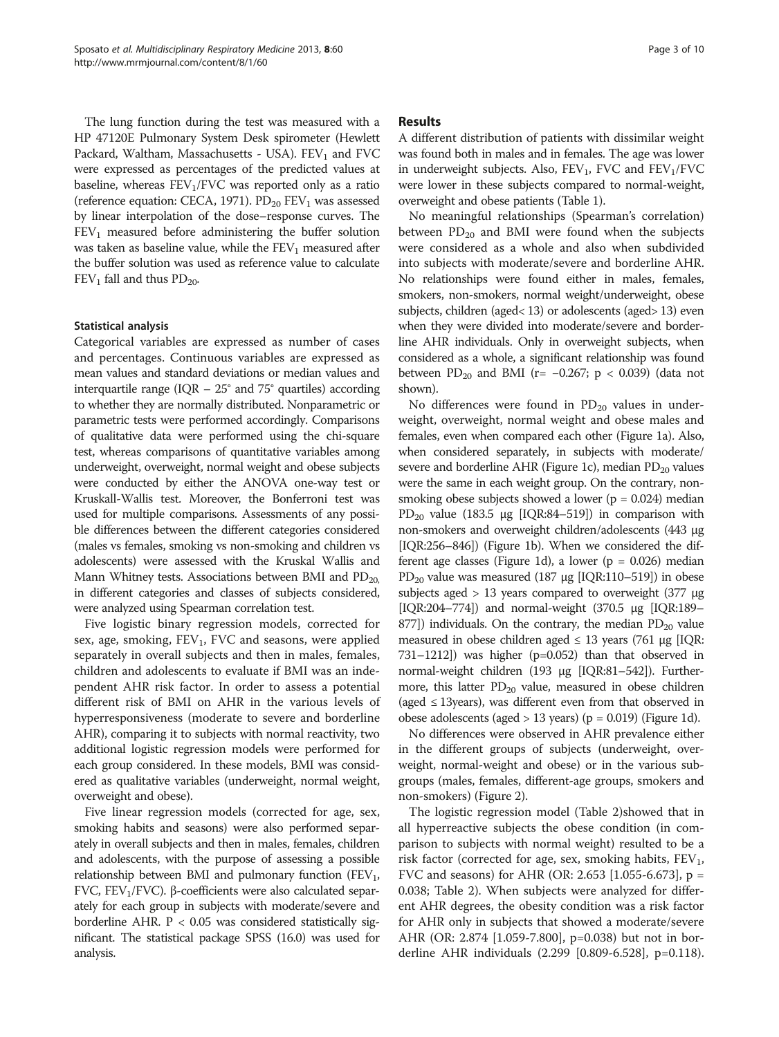The lung function during the test was measured with a HP 47120E Pulmonary System Desk spirometer (Hewlett Packard, Waltham, Massachusetts - USA).  $FEV<sub>1</sub>$  and  $FVC$ were expressed as percentages of the predicted values at baseline, whereas  $FEV<sub>1</sub>/FVC$  was reported only as a ratio (reference equation: CECA, 1971).  $PD_{20}$  FEV<sub>1</sub> was assessed by linear interpolation of the dose–response curves. The  $FEV<sub>1</sub>$  measured before administering the buffer solution was taken as baseline value, while the  $FEV<sub>1</sub>$  measured after the buffer solution was used as reference value to calculate  $FEV<sub>1</sub>$  fall and thus  $PD<sub>20</sub>$ .

#### Statistical analysis

Categorical variables are expressed as number of cases and percentages. Continuous variables are expressed as mean values and standard deviations or median values and interquartile range (IQR  $-25^{\circ}$  and 75° quartiles) according to whether they are normally distributed. Nonparametric or parametric tests were performed accordingly. Comparisons of qualitative data were performed using the chi-square test, whereas comparisons of quantitative variables among underweight, overweight, normal weight and obese subjects were conducted by either the ANOVA one-way test or Kruskall-Wallis test. Moreover, the Bonferroni test was used for multiple comparisons. Assessments of any possible differences between the different categories considered (males vs females, smoking vs non-smoking and children vs adolescents) were assessed with the Kruskal Wallis and Mann Whitney tests. Associations between BMI and  $PD_{20}$ in different categories and classes of subjects considered, were analyzed using Spearman correlation test.

Five logistic binary regression models, corrected for sex, age, smoking,  $FEV<sub>1</sub>$ , FVC and seasons, were applied separately in overall subjects and then in males, females, children and adolescents to evaluate if BMI was an independent AHR risk factor. In order to assess a potential different risk of BMI on AHR in the various levels of hyperresponsiveness (moderate to severe and borderline AHR), comparing it to subjects with normal reactivity, two additional logistic regression models were performed for each group considered. In these models, BMI was considered as qualitative variables (underweight, normal weight, overweight and obese).

Five linear regression models (corrected for age, sex, smoking habits and seasons) were also performed separately in overall subjects and then in males, females, children and adolescents, with the purpose of assessing a possible relationship between BMI and pulmonary function (FEV<sub>1</sub>, FVC, FEV<sub>1</sub>/FVC). β-coefficients were also calculated separately for each group in subjects with moderate/severe and borderline AHR.  $P < 0.05$  was considered statistically significant. The statistical package SPSS (16.0) was used for analysis.

#### Results

A different distribution of patients with dissimilar weight was found both in males and in females. The age was lower in underweight subjects. Also,  $FEV_1$ , FVC and  $FEV_1/FVC$ were lower in these subjects compared to normal-weight, overweight and obese patients (Table [1](#page-3-0)).

No meaningful relationships (Spearman's correlation) between  $PD_{20}$  and BMI were found when the subjects were considered as a whole and also when subdivided into subjects with moderate/severe and borderline AHR. No relationships were found either in males, females, smokers, non-smokers, normal weight/underweight, obese subjects, children (aged< 13) or adolescents (aged> 13) even when they were divided into moderate/severe and borderline AHR individuals. Only in overweight subjects, when considered as a whole, a significant relationship was found between PD<sub>20</sub> and BMI (r= -0.267; p < 0.039) (data not shown).

No differences were found in  $PD_{20}$  values in underweight, overweight, normal weight and obese males and females, even when compared each other (Figure [1a](#page-4-0)). Also, when considered separately, in subjects with moderate/ severe and borderline AHR (Figure [1](#page-4-0)c), median  $PD_{20}$  values were the same in each weight group. On the contrary, nonsmoking obese subjects showed a lower ( $p = 0.024$ ) median PD<sub>20</sub> value (183.5 μg [IQR:84–519]) in comparison with non-smokers and overweight children/adolescents (443 μg [IQR:256–846]) (Figure [1](#page-4-0)b). When we considered the dif-ferent age classes (Figure [1d](#page-4-0)), a lower ( $p = 0.026$ ) median PD<sub>20</sub> value was measured (187 μg [IQR:110–519]) in obese subjects aged > 13 years compared to overweight (377 μg [IQR:204–774]) and normal-weight (370.5 μg [IQR:189– 877]) individuals. On the contrary, the median  $PD_{20}$  value measured in obese children aged  $\leq$  13 years (761 µg [IQR: 731–1212]) was higher (p=0.052) than that observed in normal-weight children (193 μg [IQR:81–542]). Furthermore, this latter  $PD_{20}$  value, measured in obese children (aged  $\leq$  13years), was different even from that observed in obese adolescents (aged  $> 13$  years) (p = 0.019) (Figure [1d](#page-4-0)).

No differences were observed in AHR prevalence either in the different groups of subjects (underweight, overweight, normal-weight and obese) or in the various subgroups (males, females, different-age groups, smokers and non-smokers) (Figure [2\)](#page-5-0).

The logistic regression model (Table [2](#page-6-0))showed that in all hyperreactive subjects the obese condition (in comparison to subjects with normal weight) resulted to be a risk factor (corrected for age, sex, smoking habits,  $FEV_1$ , FVC and seasons) for AHR (OR: 2.653 [1.055-6.673], p = 0.038; Table [2\)](#page-6-0). When subjects were analyzed for different AHR degrees, the obesity condition was a risk factor for AHR only in subjects that showed a moderate/severe AHR (OR: 2.874 [1.059-7.800], p=0.038) but not in borderline AHR individuals (2.299 [0.809-6.528], p=0.118).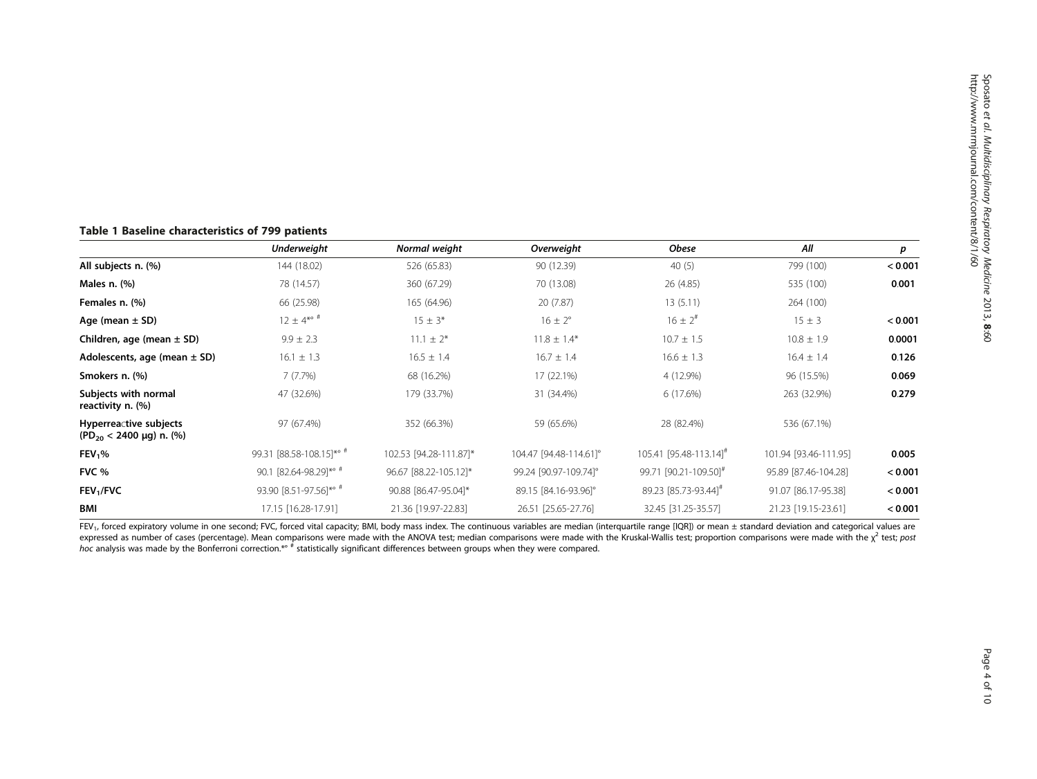## <span id="page-3-0"></span>Table 1 Baseline characteristics of 799 patients

|                                                              | <b>Underweight</b>       | Normal weight          | Overweight             | <b>Obese</b>                       | All                   | р       |
|--------------------------------------------------------------|--------------------------|------------------------|------------------------|------------------------------------|-----------------------|---------|
| All subjects n. (%)                                          | 144 (18.02)              | 526 (65.83)            | 90 (12.39)             | 40 $(5)$                           | 799 (100)             | < 0.001 |
| Males $n.$ $%$                                               | 78 (14.57)               | 360 (67.29)            | 70 (13.08)             | 26 (4.85)                          | 535 (100)             | 0.001   |
| Females n. (%)                                               | 66 (25.98)               | 165 (64.96)            | 20 (7.87)              | 13(5.11)                           | 264 (100)             |         |
| Age (mean $\pm$ SD)                                          | $12 \pm 4^{* \circ \#}$  | $15 \pm 3*$            | $16 \pm 2^{\circ}$     | $16 \pm 2^{4}$                     | $15 \pm 3$            | < 0.001 |
| Children, age (mean $\pm$ SD)                                | $9.9 \pm 2.3$            | $11.1 \pm 2^*$         | $11.8 \pm 1.4*$        | $10.7 \pm 1.5$                     | $10.8 \pm 1.9$        | 0.0001  |
| Adolescents, age (mean $\pm$ SD)                             | $16.1 \pm 1.3$           | $16.5 \pm 1.4$         | $16.7 \pm 1.4$         | $16.6 \pm 1.3$                     | $16.4 \pm 1.4$        | 0.126   |
| Smokers n. (%)                                               | 7(7.7%)                  | 68 (16.2%)             | 17 (22.1%)             | 4 (12.9%)                          | 96 (15.5%)            | 0.069   |
| Subjects with normal<br>reactivity n. (%)                    | 47 (32.6%)               | 179 (33.7%)            | 31 (34.4%)             | 6 (17.6%)                          | 263 (32.9%)           | 0.279   |
| Hyperreactive subjects<br>$(PD_{20} < 2400 \mu g)$ n. $(\%)$ | 97 (67.4%)               | 352 (66.3%)            | 59 (65.6%)             | 28 (82.4%)                         | 536 (67.1%)           |         |
| FEV <sub>1</sub> %                                           | 99.31 [88.58-108.15]*° # | 102.53 [94.28-111.87]* | 104.47 [94.48-114.61]° | 105.41 [95.48-113.14] <sup>#</sup> | 101.94 [93.46-111.95] | 0.005   |
| FVC %                                                        | 90.1 [82.64-98.29]*° #   | 96.67 [88.22-105.12]*  | 99.24 [90.97-109.74]°  | 99.71 [90.21-109.50] <sup>#</sup>  | 95.89 [87.46-104.28]  | < 0.001 |
| FEV <sub>1</sub> /FVC                                        | 93.90 [8.51-97.56]*° #   | 90.88 [86.47-95.04]*   | 89.15 [84.16-93.96]°   | 89.23 [85.73-93.44] <sup>#</sup>   | 91.07 [86.17-95.38]   | < 0.001 |
| <b>BMI</b>                                                   | 17.15 [16.28-17.91]      | 21.36 [19.97-22.83]    | 26.51 [25.65-27.76]    | 32.45 [31.25-35.57]                | 21.23 [19.15-23.61]   | < 0.001 |

FEV<sub>1</sub>, forced expiratory volume in one second; FVC, forced vital capacity; BMI, body mass index. The continuous variables are median (interquartile range [IQR]) or mean ± standard deviation and categorical values are expressed as number of cases (percentage). Mean comparisons were made with the ANOVA test; median comparisons were made with the Kruskal-Wallis test; proportion comparisons were made with the  $\chi^2$  test; post hoc analysis was made by the Bonferroni correction.\*\* # statistically significant differences between groups when they were compared.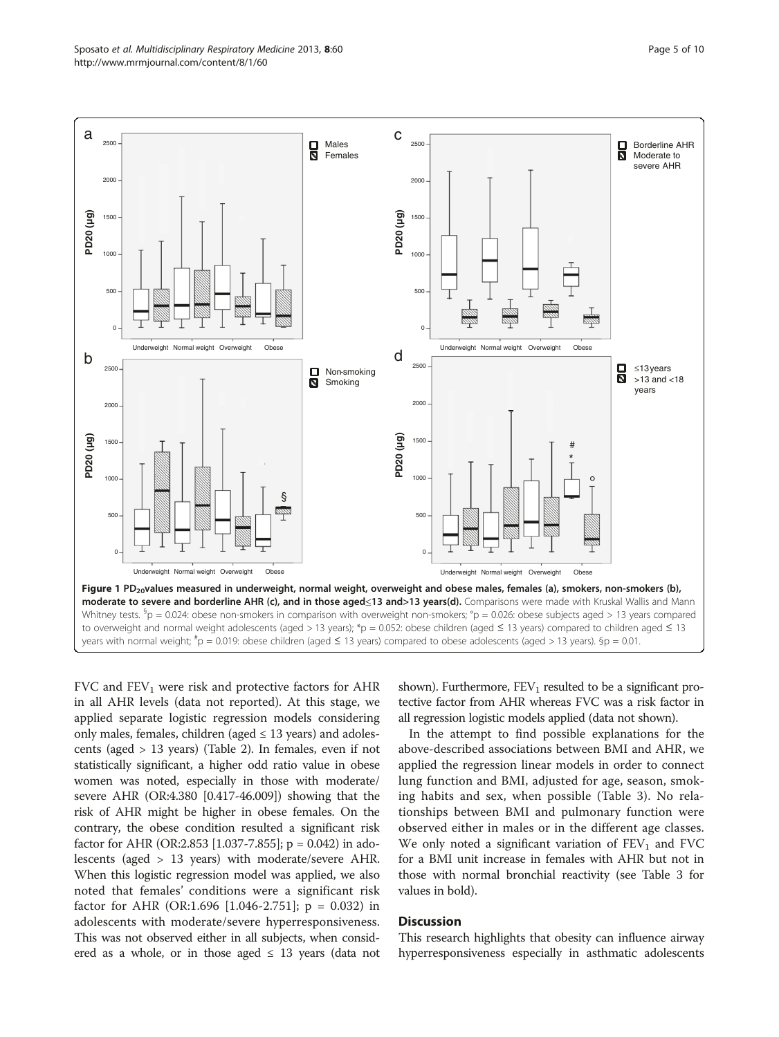<span id="page-4-0"></span>

FVC and  $FEV_1$  were risk and protective factors for AHR in all AHR levels (data not reported). At this stage, we applied separate logistic regression models considering only males, females, children (aged  $\leq$  13 years) and adolescents (aged > 13 years) (Table [2](#page-6-0)). In females, even if not statistically significant, a higher odd ratio value in obese women was noted, especially in those with moderate/ severe AHR (OR:4.380 [0.417-46.009]) showing that the risk of AHR might be higher in obese females. On the contrary, the obese condition resulted a significant risk factor for AHR (OR:2.853 [1.037-7.855]; p = 0.042) in adolescents (aged > 13 years) with moderate/severe AHR. When this logistic regression model was applied, we also noted that females' conditions were a significant risk factor for AHR (OR:1.696 [1.046-2.751];  $p = 0.032$ ) in adolescents with moderate/severe hyperresponsiveness. This was not observed either in all subjects, when considered as a whole, or in those aged  $\leq$  13 years (data not

shown). Furthermore,  $FEV_1$  resulted to be a significant protective factor from AHR whereas FVC was a risk factor in all regression logistic models applied (data not shown).

In the attempt to find possible explanations for the above-described associations between BMI and AHR, we applied the regression linear models in order to connect lung function and BMI, adjusted for age, season, smoking habits and sex, when possible (Table [3](#page-7-0)). No relationships between BMI and pulmonary function were observed either in males or in the different age classes. We only noted a significant variation of  $FEV<sub>1</sub>$  and  $FVC$ for a BMI unit increase in females with AHR but not in those with normal bronchial reactivity (see Table [3](#page-7-0) for values in bold).

## **Discussion**

This research highlights that obesity can influence airway hyperresponsiveness especially in asthmatic adolescents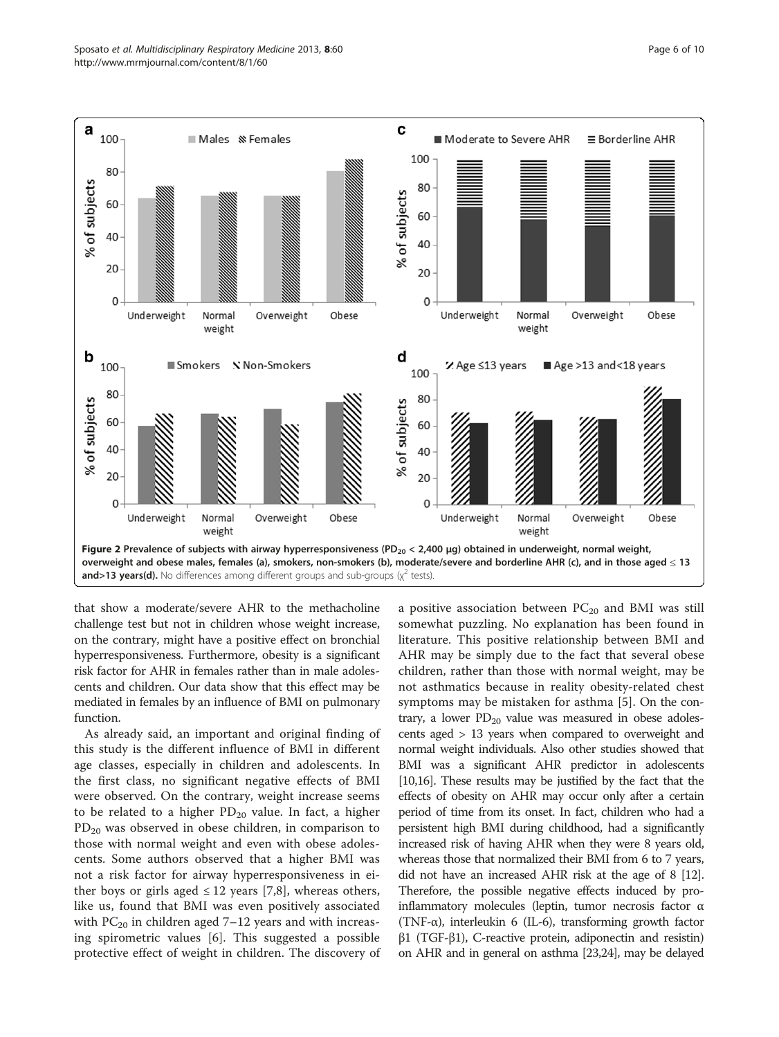<span id="page-5-0"></span>

that show a moderate/severe AHR to the methacholine challenge test but not in children whose weight increase, on the contrary, might have a positive effect on bronchial hyperresponsiveness. Furthermore, obesity is a significant risk factor for AHR in females rather than in male adolescents and children. Our data show that this effect may be mediated in females by an influence of BMI on pulmonary function.

As already said, an important and original finding of this study is the different influence of BMI in different age classes, especially in children and adolescents. In the first class, no significant negative effects of BMI were observed. On the contrary, weight increase seems to be related to a higher  $PD_{20}$  value. In fact, a higher  $PD_{20}$  was observed in obese children, in comparison to those with normal weight and even with obese adolescents. Some authors observed that a higher BMI was not a risk factor for airway hyperresponsiveness in either boys or girls aged  $\leq 12$  years [[7,8](#page-9-0)], whereas others, like us, found that BMI was even positively associated with  $PC_{20}$  in children aged 7–12 years and with increasing spirometric values [\[6](#page-9-0)]. This suggested a possible protective effect of weight in children. The discovery of

a positive association between  $PC_{20}$  and BMI was still somewhat puzzling. No explanation has been found in literature. This positive relationship between BMI and AHR may be simply due to the fact that several obese children, rather than those with normal weight, may be not asthmatics because in reality obesity-related chest symptoms may be mistaken for asthma [[5\]](#page-9-0). On the contrary, a lower  $PD_{20}$  value was measured in obese adolescents aged > 13 years when compared to overweight and normal weight individuals. Also other studies showed that BMI was a significant AHR predictor in adolescents [[10,16\]](#page-9-0). These results may be justified by the fact that the effects of obesity on AHR may occur only after a certain period of time from its onset. In fact, children who had a persistent high BMI during childhood, had a significantly increased risk of having AHR when they were 8 years old, whereas those that normalized their BMI from 6 to 7 years, did not have an increased AHR risk at the age of 8 [\[12](#page-9-0)]. Therefore, the possible negative effects induced by proinflammatory molecules (leptin, tumor necrosis factor α (TNF-α), interleukin 6 (IL-6), transforming growth factor  $β1$  (TGF- $β1$ ), C-reactive protein, adiponectin and resistin) on AHR and in general on asthma [\[23,24](#page-9-0)], may be delayed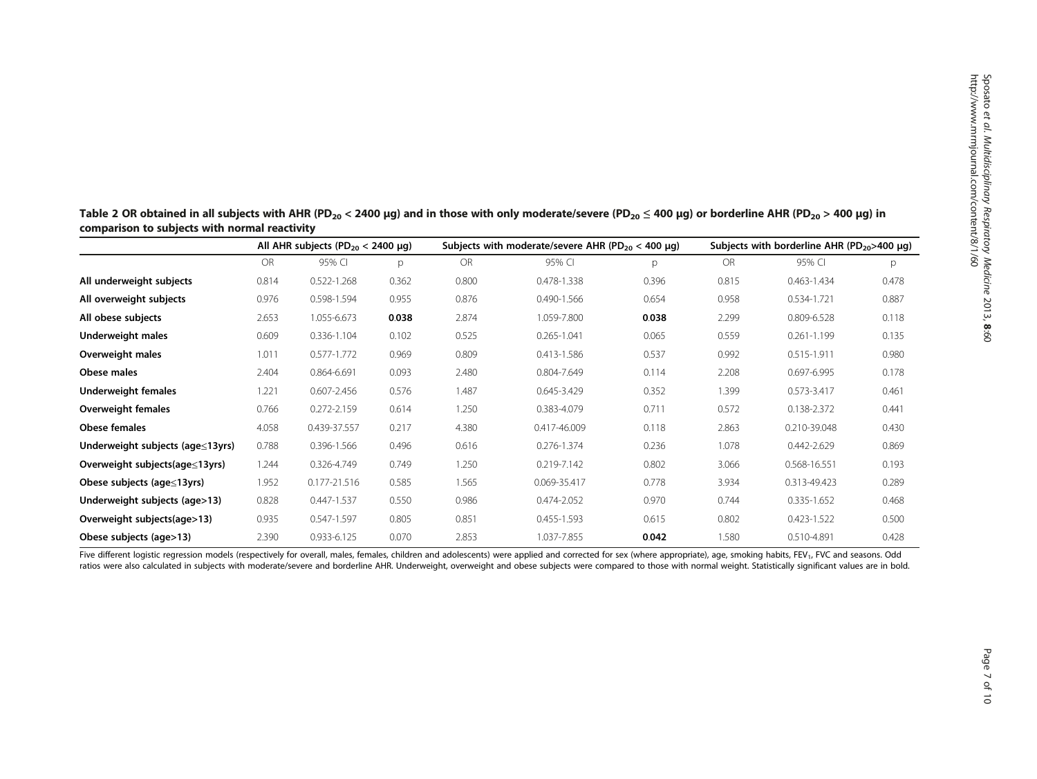|                                  | All AHR subjects (PD <sub>20</sub> < 2400 µg) |                 | Subjects with moderate/severe AHR (PD $_{20}$ < 400 µg) |           |                 | Subjects with borderline AHR ( $PD_{20}$ >400 µg) |           |                 |       |
|----------------------------------|-----------------------------------------------|-----------------|---------------------------------------------------------|-----------|-----------------|---------------------------------------------------|-----------|-----------------|-------|
|                                  | OR                                            | 95% CI          | p                                                       | <b>OR</b> | 95% CI          | p                                                 | <b>OR</b> | 95% CI          | p     |
| All underweight subjects         | 0.814                                         | 0.522-1.268     | 0.362                                                   | 0.800     | 0.478-1.338     | 0.396                                             | 0.815     | 0.463-1.434     | 0.478 |
| All overweight subjects          | 0.976                                         | 0.598-1.594     | 0.955                                                   | 0.876     | 0.490-1.566     | 0.654                                             | 0.958     | 0.534-1.721     | 0.887 |
| All obese subjects               | 2.653                                         | 1.055-6.673     | 0.038                                                   | 2.874     | 1.059-7.800     | 0.038                                             | 2.299     | 0.809-6.528     | 0.118 |
| Underweight males                | 0.609                                         | 0.336-1.104     | 0.102                                                   | 0.525     | $0.265 - 1.041$ | 0.065                                             | 0.559     | $0.261 - 1.199$ | 0.135 |
| Overweight males                 | 1.011                                         | $0.577 - 1.772$ | 0.969                                                   | 0.809     | 0.413-1.586     | 0.537                                             | 0.992     | 0.515-1.911     | 0.980 |
| Obese males                      | 2.404                                         | 0.864-6.691     | 0.093                                                   | 2.480     | 0.804-7.649     | 0.114                                             | 2.208     | 0.697-6.995     | 0.178 |
| Underweight females              | 1.221                                         | $0.607 - 2.456$ | 0.576                                                   | 1.487     | 0.645-3.429     | 0.352                                             | 1.399     | 0.573-3.417     | 0.461 |
| Overweight females               | 0.766                                         | $0.272 - 2.159$ | 0.614                                                   | 1.250     | 0.383-4.079     | 0.711                                             | 0.572     | 0.138-2.372     | 0.441 |
| <b>Obese females</b>             | 4.058                                         | 0.439-37.557    | 0.217                                                   | 4.380     | 0.417-46.009    | 0.118                                             | 2.863     | 0.210-39.048    | 0.430 |
| Underweight subjects (age≤13yrs) | 0.788                                         | 0.396-1.566     | 0.496                                                   | 0.616     | 0.276-1.374     | 0.236                                             | 1.078     | 0.442-2.629     | 0.869 |
| Overweight subjects(age≤13yrs)   | 1.244                                         | 0.326-4.749     | 0.749                                                   | 1.250     | 0.219-7.142     | 0.802                                             | 3.066     | 0.568-16.551    | 0.193 |
| Obese subjects (age≤13yrs)       | 1.952                                         | 0.177-21.516    | 0.585                                                   | 1.565     | 0.069-35.417    | 0.778                                             | 3.934     | 0.313-49.423    | 0.289 |
| Underweight subjects (age>13)    | 0.828                                         | 0.447-1.537     | 0.550                                                   | 0.986     | 0.474-2.052     | 0.970                                             | 0.744     | 0.335-1.652     | 0.468 |
| Overweight subjects(age>13)      | 0.935                                         | 0.547-1.597     | 0.805                                                   | 0.851     | 0.455-1.593     | 0.615                                             | 0.802     | 0.423-1.522     | 0.500 |
| Obese subjects (age>13)          | 2.390                                         | 0.933-6.125     | 0.070                                                   | 2.853     | 1.037-7.855     | 0.042                                             | 1.580     | 0.510-4.891     | 0.428 |

<span id="page-6-0"></span>Table 2 OR obtained in all subjects with AHR (PD<sub>20</sub> < 2400 µg) and in those with only moderate/severe (PD<sub>20</sub> ≤ 400 µg) or borderline AHR (PD<sub>20</sub> > 400 µg) in comparison to subjects with normal reactivity

Five different logistic regression models (respectively for overall, males, females, children and adolescents) were applied and corrected for sex (where appropriate), age, smoking habits, FEV<sub>1</sub>, FVC and seasons. Odd ratios were also calculated in subjects with moderate/severe and borderline AHR. Underweight, overweight and obese subjects were compared to those with normal weight. Statistically significant values are in bold.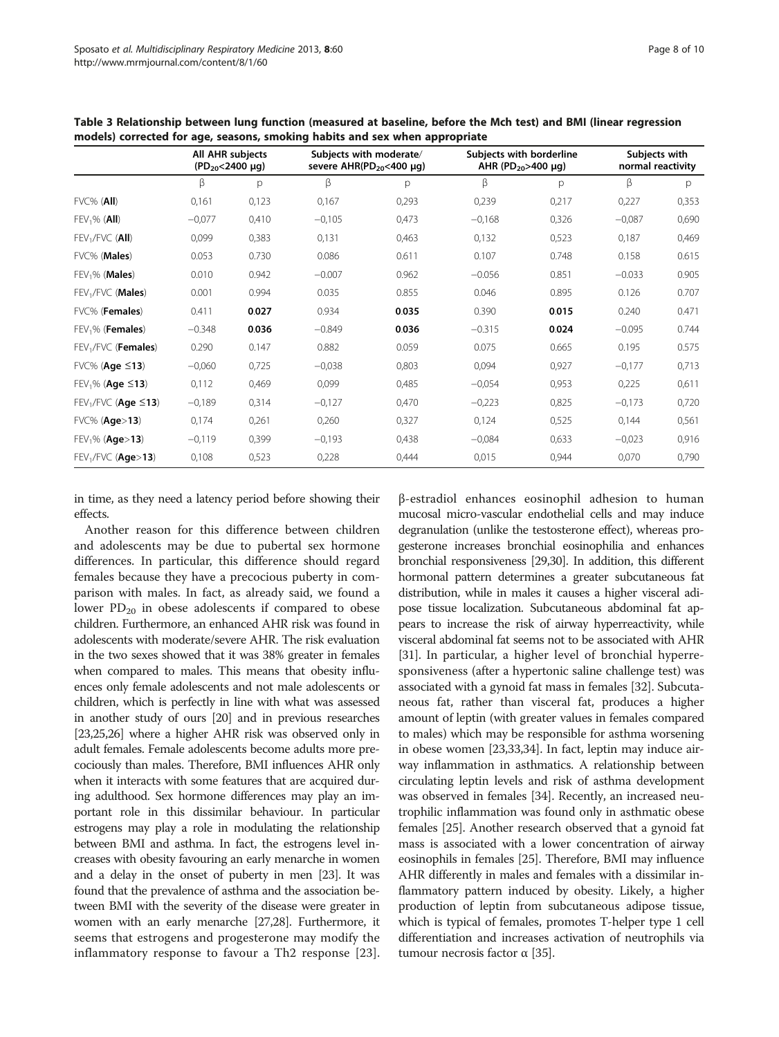|                                          | All AHR subjects<br>$(PD_{20} < 2400 \mu q)$ |       | Subjects with moderate/<br>severe $AHR(PD_{20} < 400 \mu q)$ |       | Subjects with borderline<br>AHR (PD <sub>20</sub> >400 µg) |       | Subjects with<br>normal reactivity |       |
|------------------------------------------|----------------------------------------------|-------|--------------------------------------------------------------|-------|------------------------------------------------------------|-------|------------------------------------|-------|
|                                          | β                                            | p     | β                                                            | p     | β                                                          | p     | β                                  | р     |
| $FVC%$ (All)                             | 0,161                                        | 0,123 | 0,167                                                        | 0,293 | 0,239                                                      | 0,217 | 0,227                              | 0,353 |
| $FEV1%$ (All)                            | $-0,077$                                     | 0,410 | $-0,105$                                                     | 0,473 | $-0,168$                                                   | 0,326 | $-0,087$                           | 0,690 |
| $FEV1/FVC$ (All)                         | 0,099                                        | 0,383 | 0,131                                                        | 0,463 | 0,132                                                      | 0,523 | 0,187                              | 0,469 |
| FVC% (Males)                             | 0.053                                        | 0.730 | 0.086                                                        | 0.611 | 0.107                                                      | 0.748 | 0.158                              | 0.615 |
| $FEV1%$ (Males)                          | 0.010                                        | 0.942 | $-0.007$                                                     | 0.962 | $-0.056$                                                   | 0.851 | $-0.033$                           | 0.905 |
| FEV <sub>1</sub> /FVC ( <b>Males</b> )   | 0.001                                        | 0.994 | 0.035                                                        | 0.855 | 0.046                                                      | 0.895 | 0.126                              | 0.707 |
| FVC% (Females)                           | 0.411                                        | 0.027 | 0.934                                                        | 0.035 | 0.390                                                      | 0.015 | 0.240                              | 0.471 |
| FEV <sub>1</sub> % ( <b>Females</b> )    | $-0.348$                                     | 0.036 | $-0.849$                                                     | 0.036 | $-0.315$                                                   | 0.024 | $-0.095$                           | 0.744 |
| FEV <sub>1</sub> /FVC ( <b>Females</b> ) | 0.290                                        | 0.147 | 0.882                                                        | 0.059 | 0.075                                                      | 0.665 | 0.195                              | 0.575 |
| $FVC\%$ (Age $\leq$ 13)                  | $-0,060$                                     | 0,725 | $-0.038$                                                     | 0,803 | 0,094                                                      | 0,927 | $-0,177$                           | 0,713 |
| $FEV_1\%$ (Age $\leq$ 13)                | 0,112                                        | 0,469 | 0,099                                                        | 0,485 | $-0,054$                                                   | 0,953 | 0,225                              | 0,611 |
| $FEV1/FVC$ (Age $\leq$ 13)               | $-0,189$                                     | 0,314 | $-0,127$                                                     | 0,470 | $-0,223$                                                   | 0,825 | $-0,173$                           | 0,720 |
| FVC% (Age>13)                            | 0,174                                        | 0,261 | 0,260                                                        | 0,327 | 0,124                                                      | 0,525 | 0,144                              | 0,561 |
| FEV <sub>1</sub> % (Age>13)              | $-0,119$                                     | 0,399 | $-0,193$                                                     | 0,438 | $-0,084$                                                   | 0,633 | $-0,023$                           | 0,916 |
| $FEV1/FVC$ (Age>13)                      | 0,108                                        | 0,523 | 0,228                                                        | 0,444 | 0,015                                                      | 0,944 | 0,070                              | 0,790 |

<span id="page-7-0"></span>Table 3 Relationship between lung function (measured at baseline, before the Mch test) and BMI (linear regression models) corrected for age, seasons, smoking habits and sex when appropriate

in time, as they need a latency period before showing their effects.

Another reason for this difference between children and adolescents may be due to pubertal sex hormone differences. In particular, this difference should regard females because they have a precocious puberty in comparison with males. In fact, as already said, we found a lower  $PD_{20}$  in obese adolescents if compared to obese children. Furthermore, an enhanced AHR risk was found in adolescents with moderate/severe AHR. The risk evaluation in the two sexes showed that it was 38% greater in females when compared to males. This means that obesity influences only female adolescents and not male adolescents or children, which is perfectly in line with what was assessed in another study of ours [\[20](#page-9-0)] and in previous researches [[23,25,26\]](#page-9-0) where a higher AHR risk was observed only in adult females. Female adolescents become adults more precociously than males. Therefore, BMI influences AHR only when it interacts with some features that are acquired during adulthood. Sex hormone differences may play an important role in this dissimilar behaviour. In particular estrogens may play a role in modulating the relationship between BMI and asthma. In fact, the estrogens level increases with obesity favouring an early menarche in women and a delay in the onset of puberty in men [\[23\]](#page-9-0). It was found that the prevalence of asthma and the association between BMI with the severity of the disease were greater in women with an early menarche [\[27,28](#page-9-0)]. Furthermore, it seems that estrogens and progesterone may modify the inflammatory response to favour a Th2 response [[23](#page-9-0)]. β-estradiol enhances eosinophil adhesion to human mucosal micro-vascular endothelial cells and may induce degranulation (unlike the testosterone effect), whereas progesterone increases bronchial eosinophilia and enhances bronchial responsiveness [\[29,30\]](#page-9-0). In addition, this different hormonal pattern determines a greater subcutaneous fat distribution, while in males it causes a higher visceral adipose tissue localization. Subcutaneous abdominal fat appears to increase the risk of airway hyperreactivity, while visceral abdominal fat seems not to be associated with AHR [[31](#page-9-0)]. In particular, a higher level of bronchial hyperresponsiveness (after a hypertonic saline challenge test) was associated with a gynoid fat mass in females [\[32](#page-9-0)]. Subcutaneous fat, rather than visceral fat, produces a higher amount of leptin (with greater values in females compared to males) which may be responsible for asthma worsening in obese women [[23,33,34\]](#page-9-0). In fact, leptin may induce airway inflammation in asthmatics. A relationship between circulating leptin levels and risk of asthma development was observed in females [\[34\]](#page-9-0). Recently, an increased neutrophilic inflammation was found only in asthmatic obese females [\[25\]](#page-9-0). Another research observed that a gynoid fat mass is associated with a lower concentration of airway eosinophils in females [\[25\]](#page-9-0). Therefore, BMI may influence AHR differently in males and females with a dissimilar inflammatory pattern induced by obesity. Likely, a higher production of leptin from subcutaneous adipose tissue, which is typical of females, promotes T-helper type 1 cell differentiation and increases activation of neutrophils via tumour necrosis factor  $\alpha$  [[35](#page-9-0)].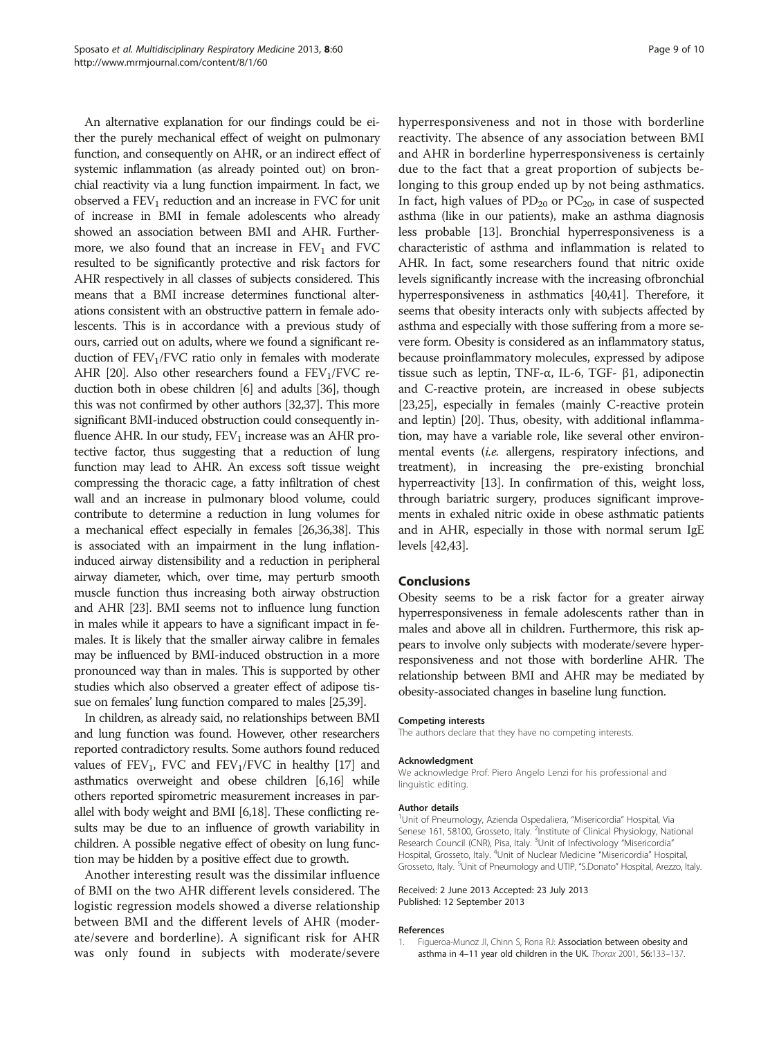<span id="page-8-0"></span>An alternative explanation for our findings could be either the purely mechanical effect of weight on pulmonary function, and consequently on AHR, or an indirect effect of systemic inflammation (as already pointed out) on bronchial reactivity via a lung function impairment. In fact, we observed a  $FEV<sub>1</sub>$  reduction and an increase in FVC for unit of increase in BMI in female adolescents who already showed an association between BMI and AHR. Furthermore, we also found that an increase in  $FEV<sub>1</sub>$  and  $FVC$ resulted to be significantly protective and risk factors for AHR respectively in all classes of subjects considered. This means that a BMI increase determines functional alterations consistent with an obstructive pattern in female adolescents. This is in accordance with a previous study of ours, carried out on adults, where we found a significant reduction of  $FEV<sub>1</sub>/FVC$  ratio only in females with moderate AHR [\[20](#page-9-0)]. Also other researchers found a  $FEV<sub>1</sub>/FVC$  reduction both in obese children [\[6\]](#page-9-0) and adults [[36](#page-9-0)], though this was not confirmed by other authors [\[32,37\]](#page-9-0). This more significant BMI-induced obstruction could consequently influence AHR. In our study,  $FEV<sub>1</sub>$  increase was an AHR protective factor, thus suggesting that a reduction of lung function may lead to AHR. An excess soft tissue weight compressing the thoracic cage, a fatty infiltration of chest wall and an increase in pulmonary blood volume, could contribute to determine a reduction in lung volumes for a mechanical effect especially in females [\[26,36,38](#page-9-0)]. This is associated with an impairment in the lung inflationinduced airway distensibility and a reduction in peripheral airway diameter, which, over time, may perturb smooth muscle function thus increasing both airway obstruction and AHR [[23](#page-9-0)]. BMI seems not to influence lung function in males while it appears to have a significant impact in females. It is likely that the smaller airway calibre in females may be influenced by BMI-induced obstruction in a more pronounced way than in males. This is supported by other studies which also observed a greater effect of adipose tissue on females' lung function compared to males [\[25,39](#page-9-0)].

In children, as already said, no relationships between BMI and lung function was found. However, other researchers reported contradictory results. Some authors found reduced values of  $FEV_1$ , FVC and  $FEV_1/FVC$  in healthy [\[17](#page-9-0)] and asthmatics overweight and obese children [\[6,16](#page-9-0)] while others reported spirometric measurement increases in parallel with body weight and BMI [[6,18\]](#page-9-0). These conflicting results may be due to an influence of growth variability in children. A possible negative effect of obesity on lung function may be hidden by a positive effect due to growth.

Another interesting result was the dissimilar influence of BMI on the two AHR different levels considered. The logistic regression models showed a diverse relationship between BMI and the different levels of AHR (moderate/severe and borderline). A significant risk for AHR was only found in subjects with moderate/severe hyperresponsiveness and not in those with borderline reactivity. The absence of any association between BMI and AHR in borderline hyperresponsiveness is certainly due to the fact that a great proportion of subjects belonging to this group ended up by not being asthmatics. In fact, high values of  $PD_{20}$  or  $PC_{20}$ , in case of suspected asthma (like in our patients), make an asthma diagnosis less probable [\[13\]](#page-9-0). Bronchial hyperresponsiveness is a characteristic of asthma and inflammation is related to AHR. In fact, some researchers found that nitric oxide levels significantly increase with the increasing ofbronchial hyperresponsiveness in asthmatics [[40,41\]](#page-9-0). Therefore, it seems that obesity interacts only with subjects affected by asthma and especially with those suffering from a more severe form. Obesity is considered as an inflammatory status, because proinflammatory molecules, expressed by adipose tissue such as leptin, TNF-α, IL-6, TGF- β1, adiponectin and C-reactive protein, are increased in obese subjects [[23,25\]](#page-9-0), especially in females (mainly C-reactive protein and leptin) [\[20\]](#page-9-0). Thus, obesity, with additional inflammation, may have a variable role, like several other environmental events (i.e. allergens, respiratory infections, and treatment), in increasing the pre-existing bronchial hyperreactivity [\[13](#page-9-0)]. In confirmation of this, weight loss, through bariatric surgery, produces significant improvements in exhaled nitric oxide in obese asthmatic patients and in AHR, especially in those with normal serum IgE levels [\[42,43](#page-9-0)].

#### Conclusions

Obesity seems to be a risk factor for a greater airway hyperresponsiveness in female adolescents rather than in males and above all in children. Furthermore, this risk appears to involve only subjects with moderate/severe hyperresponsiveness and not those with borderline AHR. The relationship between BMI and AHR may be mediated by obesity-associated changes in baseline lung function.

#### Competing interests

The authors declare that they have no competing interests.

#### Acknowledgment

We acknowledge Prof. Piero Angelo Lenzi for his professional and linguistic editing.

#### Author details

<sup>1</sup>Unit of Pneumology, Azienda Ospedaliera, "Misericordia" Hospital, Via Senese 161, 58100, Grosseto, Italy. <sup>2</sup>Institute of Clinical Physiology, National Research Council (CNR), Pisa, Italy. <sup>3</sup>Unit of Infectivology "Misericordia" Hospital, Grosseto, Italy. <sup>4</sup>Unit of Nuclear Medicine "Misericordia" Hospital, Grosseto, Italy. <sup>5</sup>Unit of Pneumology and UTIP, "S.Donato" Hospital, Arezzo, Italy

#### Received: 2 June 2013 Accepted: 23 July 2013 Published: 12 September 2013

#### References

1. Figueroa-Munoz Jl, Chinn S, Rona RJ: Association between obesity and asthma in 4–11 year old children in the UK. Thorax 2001, 56:133–137.